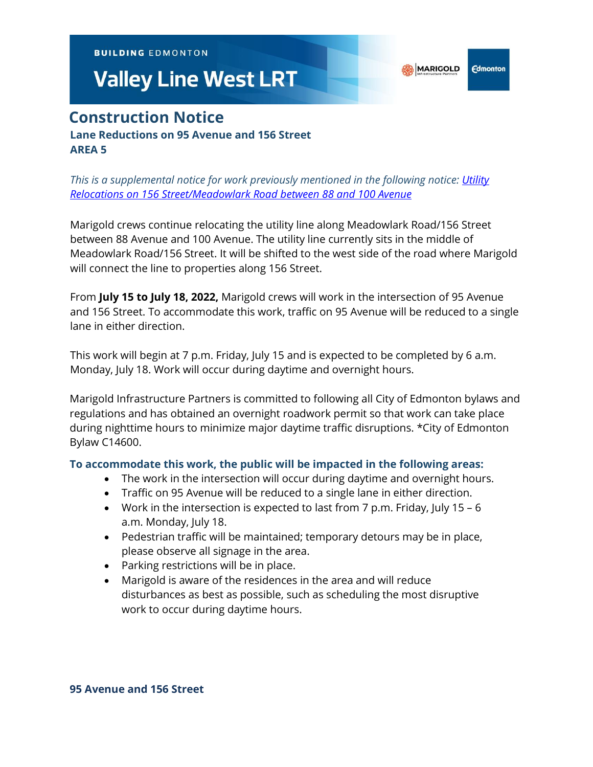**BUILDING EDMONTON** 

# **Valley Line West LRT**

# **Construction Notice Lane Reductions on 95 Avenue and 156 Street AREA 5**

*This is a supplemental notice for work previously mentioned in the following notice: [Utility](https://vlwcommprod.blob.core.windows.net/vlwcomm-files/dbb66509-d747-4d73-a07c-6b15b3818fdc-ce9b08f7-e3ea-48f9-bcb2-63ae075c9de9-1-Mar-22%20156%20St%2088-100%20Ave%20Utility%20Relocates.pdf)  [Relocations on 156 Street/Meadowlark Road between 88 and 100 Avenue](https://vlwcommprod.blob.core.windows.net/vlwcomm-files/dbb66509-d747-4d73-a07c-6b15b3818fdc-ce9b08f7-e3ea-48f9-bcb2-63ae075c9de9-1-Mar-22%20156%20St%2088-100%20Ave%20Utility%20Relocates.pdf)*

Marigold crews continue relocating the utility line along Meadowlark Road/156 Street between 88 Avenue and 100 Avenue. The utility line currently sits in the middle of Meadowlark Road/156 Street. It will be shifted to the west side of the road where Marigold will connect the line to properties along 156 Street.

From **July 15 to July 18, 2022,** Marigold crews will work in the intersection of 95 Avenue and 156 Street. To accommodate this work, traffic on 95 Avenue will be reduced to a single lane in either direction.

This work will begin at 7 p.m. Friday, July 15 and is expected to be completed by 6 a.m. Monday, July 18. Work will occur during daytime and overnight hours.

Marigold Infrastructure Partners is committed to following all City of Edmonton bylaws and regulations and has obtained an overnight roadwork permit so that work can take place during nighttime hours to minimize major daytime traffic disruptions. \*City of Edmonton Bylaw C14600.

## **To accommodate this work, the public will be impacted in the following areas:**

- The work in the intersection will occur during daytime and overnight hours.
- Traffic on 95 Avenue will be reduced to a single lane in either direction.
- Work in the intersection is expected to last from 7 p.m. Friday, July 15 6 a.m. Monday, July 18.
- Pedestrian traffic will be maintained; temporary detours may be in place, please observe all signage in the area.
- Parking restrictions will be in place.
- Marigold is aware of the residences in the area and will reduce disturbances as best as possible, such as scheduling the most disruptive work to occur during daytime hours.